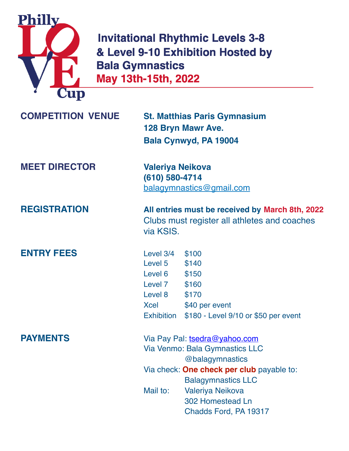

**Invitational Rhythmic Levels 3-8** & Level 9-10 Exhibition Hosted by **Bala Gymnastics** May 13th-15th, 2022

| <b>COMPETITION VENUE</b> | <b>St. Matthias Paris Gymnasium</b> |
|--------------------------|-------------------------------------|
|                          | <b>128 Bryn Mawr Ave.</b>           |
|                          | Bala Cynwyd, PA 19004               |

**MEET DIRECTOR Valeriya Neikova (610) 580-4714** [balagymnastics@gmail.com](mailto:balagymnastics@gmail.com?subject=)

**ENTRY FEES** Level 3/4 \$100

**REGISTRATION All entries must be received by March 8th, 2022** Clubs must register all athletes and coaches via KSIS.

> Level 5 \$140 Level 6 \$150 Level 7 \$160 Level 8 \$170 Xcel \$40 per event Exhibition \$180 - Level 9/10 or \$50 per event

**PAYMENTS** Via Pay Pal: [tsedra@yahoo.com](mailto:tsedra@yahoo.com) Via Venmo: Bala Gymnastics LLC @balagymnastics Via check: **One check per club** payable to: Balagymnastics LLC Mail to: Valeriya Neikova 302 Homestead Ln Chadds Ford, PA 19317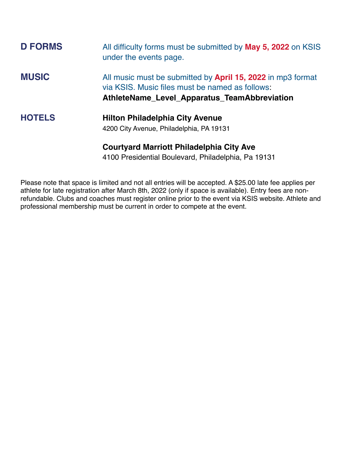| <b>D FORMS</b> | All difficulty forms must be submitted by <b>May 5, 2022</b> on KSIS<br>under the events page.                                                                               |
|----------------|------------------------------------------------------------------------------------------------------------------------------------------------------------------------------|
| <b>MUSIC</b>   | All music must be submitted by <b>April 15, 2022</b> in mp3 format<br>via KSIS. Music files must be named as follows:<br><b>AthleteName Level Apparatus TeamAbbreviation</b> |
| <b>HOTELS</b>  | <b>Hilton Philadelphia City Avenue</b><br>4200 City Avenue, Philadelphia, PA 19131                                                                                           |
|                | Courtyard Marriott Philadelphia City Ave                                                                                                                                     |

**Courtyard Marriott Philadelphia City Ave**

4100 Presidential Boulevard, Philadelphia, Pa 19131

Please note that space is limited and not all entries will be accepted. A \$25.00 late fee applies per athlete for late registration after March 8th, 2022 (only if space is available). Entry fees are nonrefundable. Clubs and coaches must register online prior to the event via KSIS website. Athlete and professional membership must be current in order to compete at the event.